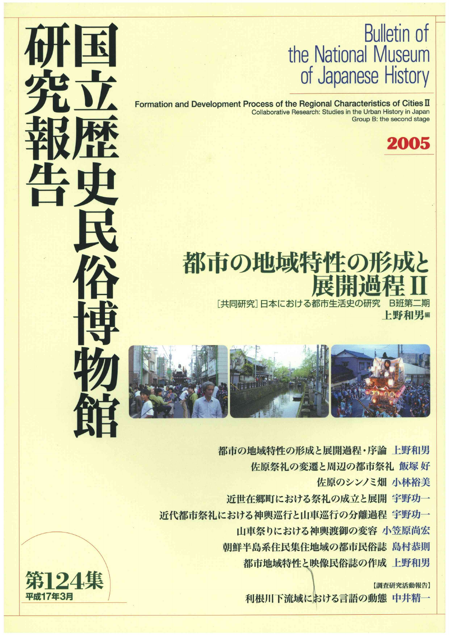## Bulletin of the National Museum of Japanese History

Formation and Development Process of the Regional Characteristics of Cities II Collaborative Research: Studies in the Urban History in Japan Group B: the second stage



## 都市の地域特性の **THE END OF THE END OF THE END OF THE END OF THE END OF THE END OF THE END OF THE END OF THE END OF THE END OF**

[共同研究] 日本における都市生活史の研究 B班第 上野和男編



都市の地域特性の形成と展開過程・序論上野和男

佐原祭礼の変遷と周辺の都市祭礼 飯塚 好

佐原のシンノミ畑 小林裕美

近世在郷町における祭礼の成立と展開 宇野功一

近代都市祭礼における神輿巡行と山車巡行の分離過程 宇野功一

山車祭りにおける神輿渡御の変容 小笠原尚宏

朝鮮半島系住民集住地域の都市民俗誌 島村恭則

都市地域特性と映像民俗誌の作成 上野和男

【調査研究活動報告】

|利根川下流域における言語の動態 中井精一

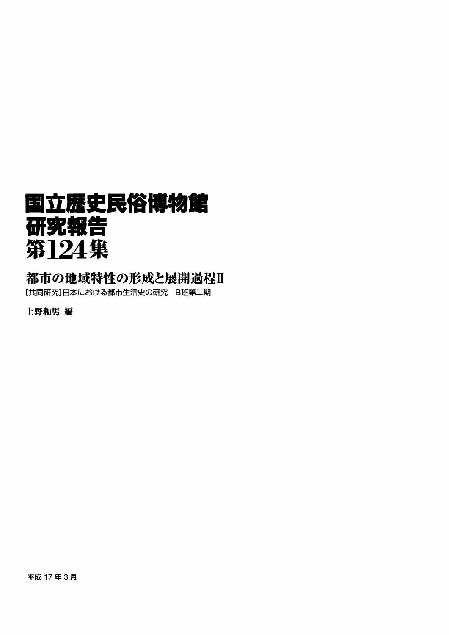## ■立歴史民俗博物館 研究報告 第124集

### 都市の地域特性の形成と展開過程皿

[共同研究]日本における都市生活史の研究 B班第二期

上野和男編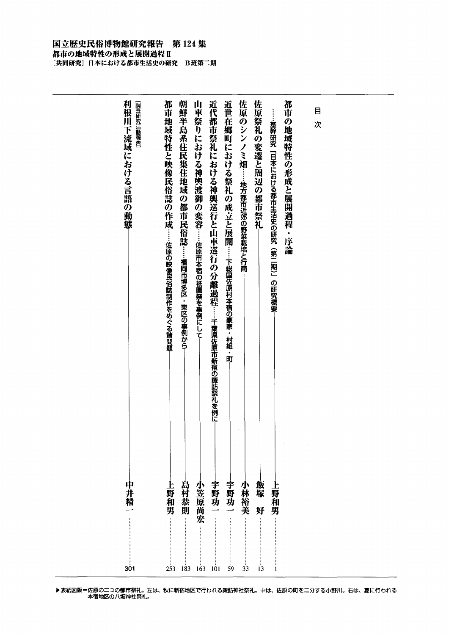### 国立歴史民俗博物館研究報告 第124集 都市の地域特性の形成と展開過程Ⅱ ...<br>[共同研究] 日本における都市生活史の研究 B班第二期

| 利根川下流域における言語の動態<br>[調査研究活動報告]<br>中井<br>梋 | 都市地域特性と映像民俗誌の作成<br>……佐原の映像民俗誌制作をめぐる諸問題<br>「野和男 | 朝鮮半島系住民集住地域の都市民俗誌……福岡市博多区・東区の事例から<br>島村恭則 | 山車祭りにおける神輿渡御の変容……佐原市本宿の祇園祭を事例にして-<br>小笠原尚宏 | 近代都市祭礼における神輿巡行と山車巡行の分離過程……主葉県佐原市新宿の諏訪祭礼を例に<br>宇野功 | 近世在郷町における祭礼の成立と展開……下総国佐原村本宿の豪家・村組・町<br>宇野功 | 佐原のシンノミ畑……地方都市近郊の野菜栽培と行商<br>小林裕美 | 佐原祭礼の変遷と周辺の都市祭礼<br>飯塚<br>好 | <b>……基幹研究「日本における都市生活史の研究(第二期)」の研究概要</b><br>F.<br>野和男 | 都市の地域特性の形成と展開過程・序論 | 目<br>次 |  |
|------------------------------------------|------------------------------------------------|-------------------------------------------|--------------------------------------------|---------------------------------------------------|--------------------------------------------|----------------------------------|----------------------------|------------------------------------------------------|--------------------|--------|--|
| 301                                      | 253                                            | 183                                       | 163                                        | 101                                               | 59                                         | 33                               | 13                         | 1                                                    |                    |        |  |

▶表紙図版=佐原の二つの都市祭礼。左は、秋に新宿地区で行われる諏訪神社祭礼。中は、佐原の町を二分する小野川。石は、夏に行わ 本佰地区の八坂神社祭礼。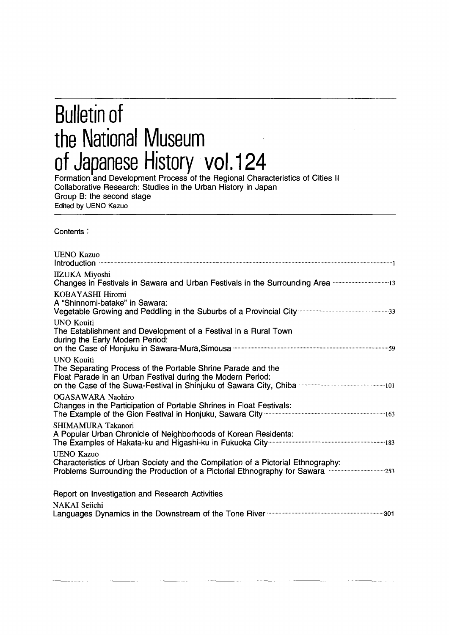## Bulletin of the National Museum of Japanese History vol.124

Formation and Development Process of the Regional Characteristics of Cities ll Collaborative Research: Studies in the Urban History in Japan Group B: the second stage Edited by UENO Kazuo

Contents:

| <b>UENO Kazuo</b>                                                                                                                                                                                 |
|---------------------------------------------------------------------------------------------------------------------------------------------------------------------------------------------------|
| <b>IIZUKA Miyoshi</b><br>Changes in Festivals in Sawara and Urban Festivals in the Surrounding Area manufacture 13                                                                                |
| KOBAYASHI Hiromi<br>A "Shinnomi-batake" in Sawara:<br>Vegetable Growing and Peddling in the Suburbs of a Provincial City manuscroman manuscrows 33                                                |
| <b>UNO Kouiti</b><br>The Establishment and Development of a Festival in a Rural Town<br>during the Early Modern Period:                                                                           |
| <b>UNO Kouiti</b><br>The Separating Process of the Portable Shrine Parade and the<br>Float Parade in an Urban Festival during the Modern Period:                                                  |
| <b>OGASAWARA Naohiro</b><br>Changes in the Participation of Portable Shrines in Float Festivals:<br>The Example of the Gion Festival in Honjuku, Sawara City <b>Construction Construction</b> 163 |
| SHIMAMURA Takanori<br>A Popular Urban Chronicle of Neighborhoods of Korean Residents:                                                                                                             |
| <b>UENO Kazuo</b><br>Characteristics of Urban Society and the Compilation of a Pictorial Ethnography:<br>Problems Surrounding the Production of a Pictorial Ethnography for Sawara                |
| Report on Investigation and Research Activities                                                                                                                                                   |
| <b>NAKAI Seiichi</b><br>Languages Dynamics in the Downstream of the Tone River much contain the meritan and 301                                                                                   |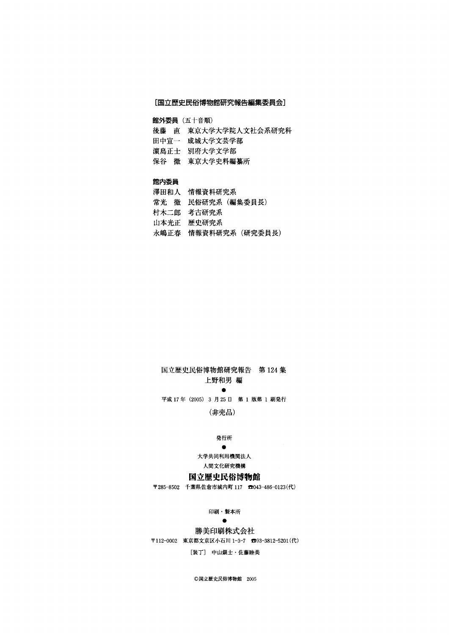### [国立歴史民俗博物館研究報告編集委員会]

館外委員(五十音順)

- 後藤 直 東京大学大学院人文社会系研究科
- 田中宣一 成城大学文芸学部
- 濱島正士 別府大学文学部
- 保谷 徹 東京大学史料編纂所

### 館内委員

澤田和人 情報資料研究系 常光 徹 民俗研究系 (編集委員長) 村木二郎 考古研究系 山本光正 歴史研究系 永嶋正春 情報資料研究系(研究委員長)

### 国立歴史民俗博物館研究報告 第124集 上野和男編

and the state of the state of the state 平成17年(2005)3月25日 第1版第1刷発行

(非売品)

### 発行所<br>●

#### experience and the contract of the contract of the contract of the contract of the contract of the contract of 大学共同利用機関法人

### 人間文化研究機構

### 国立歴史民俗博物館

〒285-8502千葉県佐倉市城内町117告043-486-0123(代)

### 印刷・製本所

### and the state of the state of the state of

### 勝美印刷株式会社

〒112-0002 東京都文京区小石川1-3-7 603-3812-5201(代)

[装丁] 中山銀士・佐藤睦美

◎国立歴史民俗博物館 2005